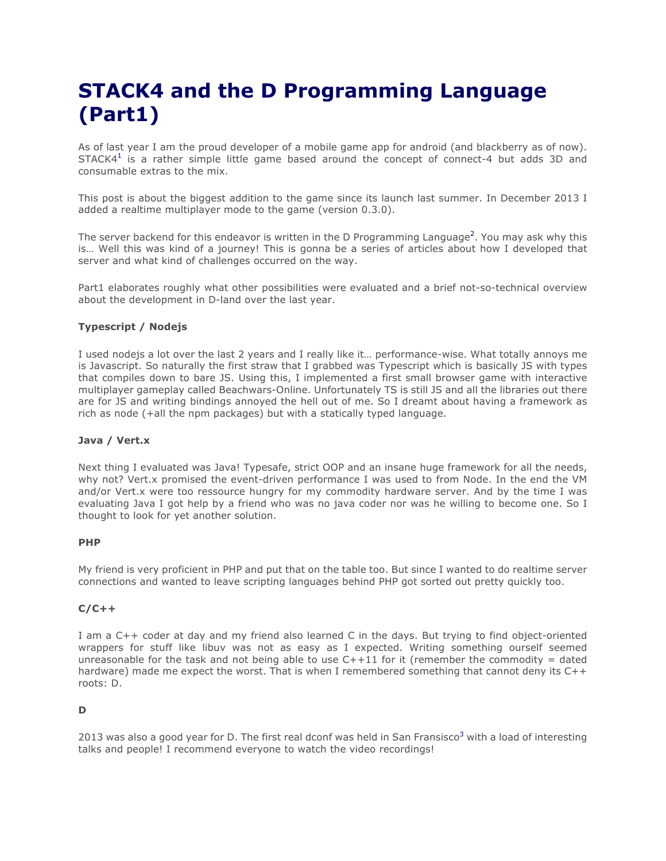# **STACK4 and the D Programming Language (Part1)**

As of last year I am the proud developer of a mobile game app for android (and blackberry as of now).  $STACK4<sup>1</sup>$  is a rather simple little game based around the concept of connect-4 but adds 3D and consumable extras to the mix.

This post is about the biggest addition to the game since its launch last summer. In December 2013 I added a realtime multiplayer mode to the game (version 0.3.0).

The server backend for this endeavor is written in the D Programming Language<sup>2</sup>. You may ask why this is… Well this was kind of a journey! This is gonna be a series of articles about how I developed that server and what kind of challenges occurred on the way.

Part1 elaborates roughly what other possibilities were evaluated and a brief not-so-technical overview about the development in D-land over the last year.

## **Typescript / Nodejs**

I used nodejs a lot over the last 2 years and I really like it… performance-wise. What totally annoys me is Javascript. So naturally the first straw that I grabbed was Typescript which is basically JS with types that compiles down to bare JS. Using this, I implemented a first small browser game with interactive multiplayer gameplay called Beachwars-Online. Unfortunately TS is still JS and all the libraries out there are for JS and writing bindings annoyed the hell out of me. So I dreamt about having a framework as rich as node (+all the npm packages) but with a statically typed language.

#### **Java / Vert.x**

Next thing I evaluated was Java! Typesafe, strict OOP and an insane huge framework for all the needs, why not? Vert.x promised the event-driven performance I was used to from Node. In the end the VM and/or Vert.x were too ressource hungry for my commodity hardware server. And by the time I was evaluating Java I got help by a friend who was no java coder nor was he willing to become one. So I thought to look for yet another solution.

#### **PHP**

My friend is very proficient in PHP and put that on the table too. But since I wanted to do realtime server connections and wanted to leave scripting languages behind PHP got sorted out pretty quickly too.

## **C/C++**

I am a C++ coder at day and my friend also learned C in the days. But trying to find object-oriented wrappers for stuff like libuv was not as easy as I expected. Writing something ourself seemed unreasonable for the task and not being able to use  $C++11$  for it (remember the commodity = dated hardware) made me expect the worst. That is when I remembered something that cannot deny its C++ roots: D.

## **D**

2013 was also a good year for D. The first real dconf was held in San Fransisco<sup>3</sup> with a load of interesting talks and people! I recommend everyone to watch the video recordings!